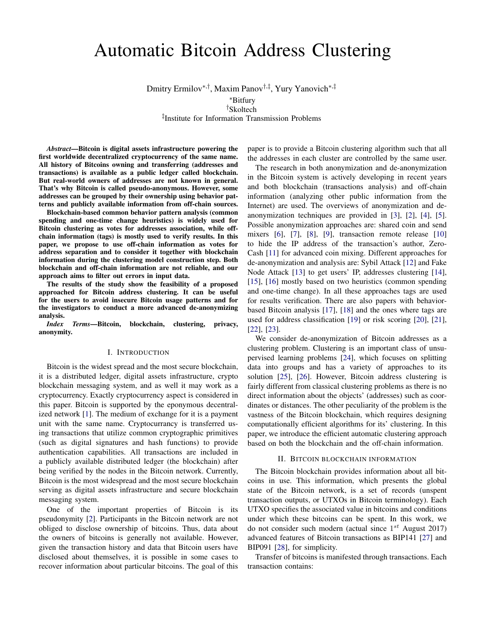# Automatic Bitcoin Address Clustering

Dmitry Ermilov∗,† , Maxim Panov†,‡ , Yury Yanovich∗,‡

<sup>∗</sup>Bitfury

†Skoltech ‡ Institute for Information Transmission Problems

*Abstract*—Bitcoin is digital assets infrastructure powering the first worldwide decentralized cryptocurrency of the same name. All history of Bitcoins owning and transferring (addresses and transactions) is available as a public ledger called blockchain. But real-world owners of addresses are not known in general. That's why Bitcoin is called pseudo-anonymous. However, some addresses can be grouped by their ownership using behavior patterns and publicly available information from off-chain sources.

Blockchain-based common behavior pattern analysis (common spending and one-time change heuristics) is widely used for Bitcoin clustering as votes for addresses association, while offchain information (tags) is mostly used to verify results. In this paper, we propose to use off-chain information as votes for address separation and to consider it together with blockchain information during the clustering model construction step. Both blockchain and off-chain information are not reliable, and our approach aims to filter out errors in input data.

The results of the study show the feasibility of a proposed approached for Bitcoin address clustering. It can be useful for the users to avoid insecure Bitcoin usage patterns and for the investigators to conduct a more advanced de-anonymizing analysis.

*Index Terms*—Bitcoin, blockchain, clustering, privacy, anonymity.

### I. INTRODUCTION

Bitcoin is the widest spread and the most secure blockchain, it is a distributed ledger, digital assets infrastructure, crypto blockchain messaging system, and as well it may work as a cryptocurrency. Exactly cryptocurrency aspect is considered in this paper. Bitcoin is supported by the eponymous decentralized network [\[1\]](#page-5-0). The medium of exchange for it is a payment unit with the same name. Cryptocurrancy is transferred using transactions that utilize common cryptographic primitives (such as digital signatures and hash functions) to provide authentication capabilities. All transactions are included in a publicly available distributed ledger (the blockchain) after being verified by the nodes in the Bitcoin network. Currently, Bitcoin is the most widespread and the most secure blockchain serving as digital assets infrastructure and secure blockchain messaging system.

One of the important properties of Bitcoin is its pseudonymity [\[2\]](#page-5-1). Participants in the Bitcoin network are not obliged to disclose ownership of bitcoins. Thus, data about the owners of bitcoins is generally not available. However, given the transaction history and data that Bitcoin users have disclosed about themselves, it is possible in some cases to recover information about particular bitcoins. The goal of this paper is to provide a Bitcoin clustering algorithm such that all the addresses in each cluster are controlled by the same user.

The research in both anonymization and de-anonymization in the Bitcoin system is actively developing in recent years and both blockchain (transactions analysis) and off-chain information (analyzing other public information from the Internet) are used. The overviews of anonymization and deanonymization techniques are provided in [\[3\]](#page-5-2), [\[2\]](#page-5-1), [\[4\]](#page-5-3), [\[5\]](#page-5-4). Possible anonymization approaches are: shared coin and send mixers [\[6\]](#page-5-5), [\[7\]](#page-5-6), [\[8\]](#page-5-7), [\[9\]](#page-5-8), transaction remote release [\[10\]](#page-5-9) to hide the IP address of the transaction's author, Zero-Cash [\[11\]](#page-5-10) for advanced coin mixing. Different approaches for de-anonymization and analysis are: Sybil Attack [\[12\]](#page-5-11) and Fake Node Attack [\[13\]](#page-5-12) to get users' IP, addresses clustering [\[14\]](#page-5-13), [\[15\]](#page-5-14), [\[16\]](#page-5-15) mostly based on two heuristics (common spending and one-time change). In all these approaches tags are used for results verification. There are also papers with behaviorbased Bitcoin analysis [\[17\]](#page-5-16), [\[18\]](#page-5-17) and the ones where tags are used for address classification [\[19\]](#page-5-18) or risk scoring [\[20\]](#page-5-19), [\[21\]](#page-5-20), [\[22\]](#page-5-21), [\[23\]](#page-5-22).

We consider de-anonymization of Bitcoin addresses as a clustering problem. Clustering is an important class of unsupervised learning problems [\[24\]](#page-5-23), which focuses on splitting data into groups and has a variety of approaches to its solution [\[25\]](#page-5-24), [\[26\]](#page-5-25). However, Bitcoin address clustering is fairly different from classical clustering problems as there is no direct information about the objects' (addresses) such as coordinates or distances. The other peculiarity of the problem is the vastness of the Bitcoin blockchain, which requires designing computationally efficient algorithms for its' clustering. In this paper, we introduce the efficient automatic clustering approach based on both the blockchain and the off-chain information.

## II. BITCOIN BLOCKCHAIN INFORMATION

The Bitcoin blockchain provides information about all bitcoins in use. This information, which presents the global state of the Bitcoin network, is a set of records (unspent transaction outputs, or UTXOs in Bitcoin terminology). Each UTXO specifies the associated value in bitcoins and conditions under which these bitcoins can be spent. In this work, we do not consider such modern (actual since  $1^{st}$  August 2017) advanced features of Bitcoin transactions as BIP141 [\[27\]](#page-5-26) and BIP091 [\[28\]](#page-5-27), for simplicity.

Transfer of bitcoins is manifested through transactions. Each transaction contains: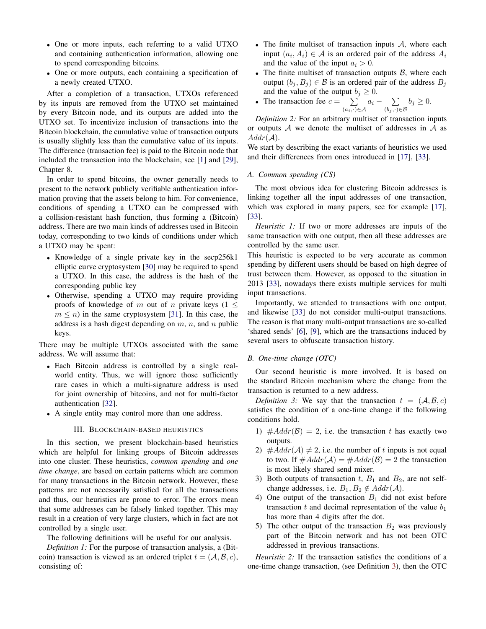- One or more inputs, each referring to a valid UTXO and containing authentication information, allowing one to spend corresponding bitcoins.
- One or more outputs, each containing a specification of a newly created UTXO.

After a completion of a transaction, UTXOs referenced by its inputs are removed from the UTXO set maintained by every Bitcoin node, and its outputs are added into the UTXO set. To incentivize inclusion of transactions into the Bitcoin blockchain, the cumulative value of transaction outputs is usually slightly less than the cumulative value of its inputs. The difference (transaction fee) is paid to the Bitcoin node that included the transaction into the blockchain, see [\[1\]](#page-5-0) and [\[29\]](#page-5-28), Chapter 8.

In order to spend bitcoins, the owner generally needs to present to the network publicly verifiable authentication information proving that the assets belong to him. For convenience, conditions of spending a UTXO can be compressed with a collision-resistant hash function, thus forming a (Bitcoin) address. There are two main kinds of addresses used in Bitcoin today, corresponding to two kinds of conditions under which a UTXO may be spent:

- Knowledge of a single private key in the secp256k1 elliptic curve cryptosystem [\[30\]](#page-5-29) may be required to spend a UTXO. In this case, the address is the hash of the corresponding public key
- Otherwise, spending a UTXO may require providing proofs of knowledge of m out of n private keys ( $1 \leq$  $m \leq n$ ) in the same cryptosystem [\[31\]](#page-5-30). In this case, the address is a hash digest depending on  $m$ ,  $n$ , and  $n$  public keys.

There may be multiple UTXOs associated with the same address. We will assume that:

- Each Bitcoin address is controlled by a single realworld entity. Thus, we will ignore those sufficiently rare cases in which a multi-signature address is used for joint ownership of bitcoins, and not for multi-factor authentication [\[32\]](#page-5-31).
- A single entity may control more than one address.

#### III. BLOCKCHAIN-BASED HEURISTICS

<span id="page-1-1"></span>In this section, we present blockchain-based heuristics which are helpful for linking groups of Bitcoin addresses into one cluster. These heuristics, *common spending* and *one time change*, are based on certain patterns which are common for many transactions in the Bitcoin network. However, these patterns are not necessarily satisfied for all the transactions and thus, our heuristics are prone to error. The errors mean that some addresses can be falsely linked together. This may result in a creation of very large clusters, which in fact are not controlled by a single user.

The following definitions will be useful for our analysis.

*Definition 1:* For the purpose of transaction analysis, a (Bitcoin) transaction is viewed as an ordered triplet  $t = (A, B, c)$ , consisting of:

- The finite multiset of transaction inputs  $A$ , where each input  $(a_i, A_i) \in \mathcal{A}$  is an ordered pair of the address  $A_i$ and the value of the input  $a_i > 0$ .
- The finite multiset of transaction outputs  $\beta$ , where each output  $(b_i, B_j) \in \mathcal{B}$  is an ordered pair of the address  $B_j$ and the value of the output  $b_j \geq 0$ .
- The transaction fee  $c = \sum$  $(a_i,\cdot)\in\mathcal{A}$  $a_i$  –  $\sum$  $(b_j, \cdot) \in \mathcal{B}$  $b_j \geq 0.$

*Definition 2:* For an arbitrary multiset of transaction inputs or outputs  $A$  we denote the multiset of addresses in  $A$  as  $Addr(\mathcal{A}).$ 

We start by describing the exact variants of heuristics we used and their differences from ones introduced in [\[17\]](#page-5-16), [\[33\]](#page-5-32).

*A. Common spending (CS)*

The most obvious idea for clustering Bitcoin addresses is linking together all the input addresses of one transaction, which was explored in many papers, see for example [\[17\]](#page-5-16), [\[33\]](#page-5-32).

*Heuristic 1:* If two or more addresses are inputs of the same transaction with one output, then all these addresses are controlled by the same user.

This heuristic is expected to be very accurate as common spending by different users should be based on high degree of trust between them. However, as opposed to the situation in 2013 [\[33\]](#page-5-32), nowadays there exists multiple services for multi input transactions.

Importantly, we attended to transactions with one output, and likewise [\[33\]](#page-5-32) do not consider multi-output transactions. The reason is that many multi-output transactions are so-called 'shared sends' [\[6\]](#page-5-5), [\[9\]](#page-5-8), which are the transactions induced by several users to obfuscate transaction history.

# *B. One-time change (OTC)*

Our second heuristic is more involved. It is based on the standard Bitcoin mechanism where the change from the transaction is returned to a new address.

<span id="page-1-0"></span>*Definition 3:* We say that the transaction  $t = (\mathcal{A}, \mathcal{B}, c)$ satisfies the condition of a one-time change if the following conditions hold.

- 1)  $\#Addr(\mathcal{B}) = 2$ , i.e. the transaction t has exactly two outputs.
- 2)  $\#Addr(\mathcal{A}) \neq 2$ , i.e. the number of t inputs is not equal to two. If  $\#Addr(\mathcal{A}) = \#Addr(\mathcal{B}) = 2$  the transaction is most likely shared send mixer.
- 3) Both outputs of transaction  $t$ ,  $B_1$  and  $B_2$ , are not selfchange addresses, i.e.  $B_1, B_2 \notin Addr(\mathcal{A})$ .
- 4) One output of the transaction  $B_1$  did not exist before transaction t and decimal representation of the value  $b_1$ has more than 4 digits after the dot.
- 5) The other output of the transaction  $B_2$  was previously part of the Bitcoin network and has not been OTC addressed in previous transactions.

*Heuristic 2:* If the transaction satisfies the conditions of a one-time change transaction, (see Definition [3\)](#page-1-0), then the OTC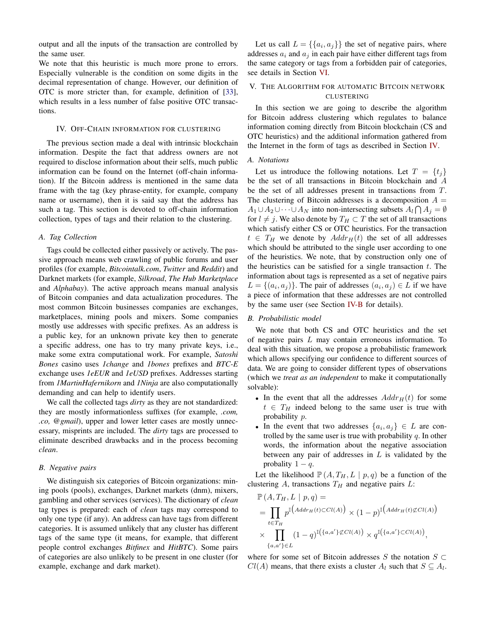output and all the inputs of the transaction are controlled by the same user.

We note that this heuristic is much more prone to errors. Especially vulnerable is the condition on some digits in the decimal representation of change. However, our definition of OTC is more stricter than, for example, definition of [\[33\]](#page-5-32), which results in a less number of false positive OTC transactions.

#### <span id="page-2-0"></span>IV. OFF-CHAIN INFORMATION FOR CLUSTERING

The previous section made a deal with intrinsic blockchain information. Despite the fact that address owners are not required to disclose information about their selfs, much public information can be found on the Internet (off-chain information). If the Bitcoin address is mentioned in the same data frame with the tag (key phrase-entity, for example, company name or username), then it is said say that the address has such a tag. This section is devoted to off-chain information collection, types of tags and their relation to the clustering.

#### *A. Tag Collection*

Tags could be collected either passively or actively. The passive approach means web crawling of public forums and user profiles (for example, *Bitcointalk.com*, *Twitter* and *Reddit*) and Darknet markets (for example, *Silkroad*, *The Hub Marketplace* and *Alphabay*). The active approach means manual analysis of Bitcoin companies and data actualization procedures. The most common Bitcoin businesses companies are exchanges, marketplaces, mining pools and mixers. Some companies mostly use addresses with specific prefixes. As an address is a public key, for an unknown private key then to generate a specific address, one has to try many private keys, i.e., make some extra computational work. For example, *Satoshi Bones* casino uses *1change* and *1bones* prefixes and *BTC-E* exchange uses *1eEUR* and *1eUSD* prefixes. Addresses starting from *1MartinHafernikorn* and *1Ninja* are also computationally demanding and can help to identify users.

We call the collected tags *dirty* as they are not standardized: they are mostly informationless suffixes (for example, *.com, .co, @gmail*), upper and lower letter cases are mostly unnecessary, misprints are included. The *dirty* tags are processed to eliminate described drawbacks and in the process becoming *clean*.

# <span id="page-2-1"></span>*B. Negative pairs*

We distinguish six categories of Bitcoin organizations: mining pools (pools), exchanges, Darknet markets (dnm), mixers, gambling and other services (services). The dictionary of *clean* tag types is prepared: each of *clean* tags may correspond to only one type (if any). An address can have tags from different categories. It is assumed unlikely that any cluster has different tags of the same type (it means, for example, that different people control exchanges *Bitfinex* and *HitBTC*). Some pairs of categories are also unlikely to be present in one cluster (for example, exchange and dark market).

Let us call  $L = \{\{a_i, a_j\}\}\$  the set of negative pairs, where addresses  $a_i$  and  $a_j$  in each pair have either different tags from the same category or tags from a forbidden pair of categories, see details in Section [VI.](#page-3-0)

# <span id="page-2-2"></span>V. THE ALGORITHM FOR AUTOMATIC BITCOIN NETWORK CLUSTERING

In this section we are going to describe the algorithm for Bitcoin address clustering which regulates to balance information coming directly from Bitcoin blockchain (CS and OTC heuristics) and the additional information gathered from the Internet in the form of tags as described in Section [IV.](#page-2-0)

### *A. Notations*

Let us introduce the following notations. Let  $T = \{t_i\}$ be the set of all transactions in Bitcoin blockchain and A be the set of all addresses present in transactions from T. The clustering of Bitcoin addresses is a decomposition  $A =$  $A_1 \cup A_2 \cup \cdots \cup A_N$  into non-intersecting subsets  $A_l \cap A_j = \emptyset$ for  $l \neq j$ . We also denote by  $T_H \subset T$  the set of all transactions which satisfy either CS or OTC heuristics. For the transaction  $t \in T_H$  we denote by  $Addr_H(t)$  the set of all addresses which should be attributed to the single user according to one of the heuristics. We note, that by construction only one of the heuristics can be satisfied for a single transaction  $t$ . The information about tags is represented as a set of negative pairs  $L = \{(a_i, a_j)\}\.$  The pair of addresses  $(a_i, a_j) \in L$  if we have a piece of information that these addresses are not controlled by the same user (see Section [IV-B](#page-2-1) for details).

## *B. Probabilistic model*

We note that both CS and OTC heuristics and the set of negative pairs L may contain erroneous information. To deal with this situation, we propose a probabilistic framework which allows specifying our confidence to different sources of data. We are going to consider different types of observations (which we *treat as an independent* to make it computationally solvable):

- In the event that all the addresses  $Addr<sub>H</sub>(t)$  for some  $t \in T_H$  indeed belong to the same user is true with probability p.
- In the event that two addresses  $\{a_i, a_j\} \in L$  are controlled by the same user is true with probability  $q$ . In other words, the information about the negative association between any pair of addresses in  $L$  is validated by the probality  $1 - q$ .

Let the likelihood  $\mathbb{P}(A, T_H, L \mid p, q)$  be a function of the clustering  $A$ , transactions  $T_H$  and negative pairs  $L$ :

$$
\mathbb{P}(A, T_H, L \mid p, q) =
$$
\n
$$
= \prod_{t \in T_H} p^{\mathbb{I}\left( Add_{TH}(t) \subset Cl(A) \right)} \times (1 - p)^{\mathbb{I}\left( Add_{TH}(t) \not\subset Cl(A) \right)}
$$
\n
$$
\times \prod_{\{a, a'\} \in L} (1 - q)^{\mathbb{I}\left( \{a, a'\} \not\subset Cl(A) \right)} \times q^{\mathbb{I}\left( \{a, a'\} \subset Cl(A) \right)},
$$

where for some set of Bitcoin addresses S the notation  $S \subset$  $Cl(A)$  means, that there exists a cluster  $A_l$  such that  $S \subseteq A_l$ .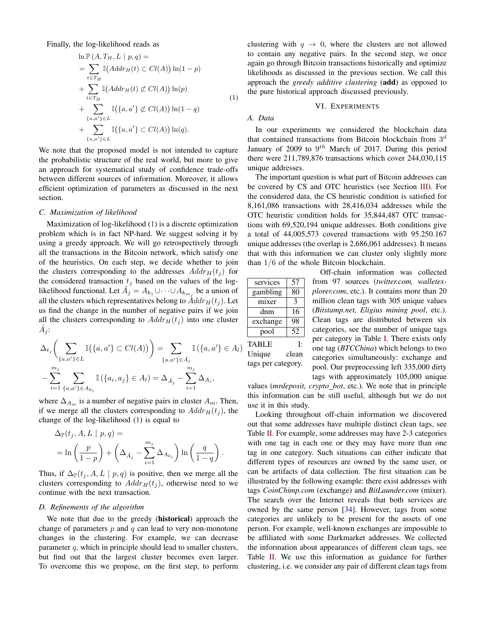Finally, the log-likelihood reads as

<span id="page-3-1"></span>
$$
\ln \mathbb{P}(A, T_H, L \mid p, q) =
$$
\n
$$
= \sum_{t \in T_H} \mathbb{I}(Addr_H(t) \subset Cl(A)) \ln(1-p)
$$
\n
$$
+ \sum_{t \in T_H} \mathbb{I}(Addr_H(t) \not\subset Cl(A)) \ln(p)
$$
\n
$$
+ \sum_{\{a, a'\}\in L} \mathbb{I}(\{a, a'\} \not\subset Cl(A)) \ln(1-q)
$$
\n
$$
+ \sum_{\{a, a'\}\in L} \mathbb{I}(\{a, a'\} \subset Cl(A)) \ln(q).
$$
\n(1)

We note that the proposed model is not intended to capture the probabilistic structure of the real world, but more to give an approach for systematical study of confidence trade-offs between different sources of information. Moreover, it allows efficient optimization of parameters as discussed in the next section.

#### <span id="page-3-3"></span>*C. Maximization of likelihood*

Maximization of log-likelihood [\(1\)](#page-3-1) is a discrete optimization problem which is in fact NP-hard. We suggest solving it by using a greedy approach. We will go retrospectively through all the transactions in the Bitcoin network, which satisfy one of the heuristics. On each step, we decide whether to join the clusters corresponding to the addresses  $Addr_H(t_i)$  for the considered transaction  $t_j$  based on the values of the loglikelihood functional. Let  $\hat{A}_j = A_{k_1} \cup \cdots \cup A_{k_{m_j}}$  be a union of all the clusters which representatives belong to  $\AA ddr_H(t_i)$ . Let us find the change in the number of negative pairs if we join all the clusters corresponding to  $Addr_H(t_i)$  into one cluster  $\hat{A}_j$ :

$$
\Delta_{t_j}\left(\sum_{\{a,a'\}\in L} \mathbb{I}(\{a,a'\}\subset Cl(A))\right) = \sum_{\{a,a'\}\in \hat{A}_j} \mathbb{I}(\{a,a'\}\in A_l)
$$

$$
-\sum_{i=1}^{m_j} \sum_{\{a,a'\}\in A_{k_i}} \mathbb{I}(\{a_i,a_j\}\in A_l) = \Delta_{\hat{A}_j} - \sum_{i=1}^{m_j} \Delta_{A_i},
$$

where  $\Delta_{A_m}$  is a number of negative pairs in cluster  $A_m$ . Then, if we merge all the clusters corresponding to  $Addr_H(t_j)$ , the change of the log-likelihood [\(1\)](#page-3-1) is equal to

$$
\Delta_{\mathbb{P}}(t_j, A, L \mid p, q) =
$$
  
=  $\ln\left(\frac{p}{1-p}\right) + \left(\Delta_{\hat{A}_j} - \sum_{i=1}^{m_j} \Delta_{A_{k_i}}\right) \ln\left(\frac{q}{1-q}\right).$ 

Thus, if  $\Delta_{\mathbb{P}}(t_j, A, L \mid p, q)$  is positive, then we merge all the clusters corresponding to  $Addr<sub>H</sub>(t<sub>i</sub>)$ , otherwise need to we continue with the next transaction.

## <span id="page-3-4"></span>*D. Refinements of the algorithm*

We note that due to the greedy (historical) approach the change of parameters  $p$  and  $q$  can lead to very non-monotone changes in the clustering. For example, we can decrease parameter  $q$ , which in principle should lead to smaller clusters, but find out that the largest cluster becomes even larger. To overcome this we propose, on the first step, to perform clustering with  $q \rightarrow 0$ , where the clusters are not allowed to contain any negative pairs. In the second step, we once again go through Bitcoin transactions historically and optimize likelihoods as discussed in the previous section. We call this approach the *greedy additive clustering* (add) as opposed to the pure historical approach discussed previously.

#### VI. EXPERIMENTS

# <span id="page-3-0"></span>*A. Data*

In our experiments we considered the blockchain data that contained transactions from Bitcoin blockchain from  $3<sup>d</sup>$ January of 2009 to  $9^{th}$  March of 2017. During this period there were 211,789,876 transactions which cover 244,030,115 unique addresses.

The important question is what part of Bitcoin addresses can be covered by CS and OTC heuristics (see Section [III\)](#page-1-1). For the considered data, the CS heuristic condition is satisfied for 8,161,086 transactions with 28,416,034 addresses while the OTC heuristic condition holds for 35,844,487 OTC transactions with 69,520,194 unique addresses. Both conditions give a total of 44,005,573 covered transactions with 95.250.167 unique addresses (the overlap is 2,686,061 addresses). It means that with this information we can cluster only slightly more than 1/6 of the whole Bitcoin blockchain.

<span id="page-3-2"></span>

| services | 57 |
|----------|----|
| gambling | 80 |
| mixer    | 3  |
| dnm      | 16 |
| exchange | 98 |
| pool     | 52 |

Off-chain information was collected from 97 sources (*twitter.com, walletexplorer.com*, etc.). It contains more than 20 million clean tags with 305 unique values (*Bitstamp.net, Eligius mining pool*, etc.). Clean tags are distributed between six categories, see the number of unique tags per category in Table [I.](#page-3-2) There exists only one tag (*BTCChina*) which belongs to two categories simultaneously: exchange and pool. Our preprocessing left 335,000 dirty tags with approximately 105,000 unique

TABLE I: Unique clean tags per category.

values (mrdeposit, crypto\_bot, etc.). We note that in principle this information can be still useful, although but we do not use it in this study.

Looking throughout off-chain information we discovered out that some addresses have multiple distinct clean tags, see Table [II.](#page-4-0) For example, some addresses may have 2-3 categories with one tag in each one or they may have more than one tag in one category. Such situations can either indicate that different types of resources are owned by the same user, or can be artifacts of data collection. The first situation can be illustrated by the following example: there exist addresses with tags *CoinChimp.com* (exchange) and *BitLaunder.com* (mixer). The search over the Internet reveals that both services are owned by the same person [\[34\]](#page-5-33). However, tags from some categories are unlikely to be present for the assets of one person. For example, well-known exchanges are impossible to be affiliated with some Darkmarket addresses. We collected the information about appearances of different clean tags, see Table [II.](#page-4-0) We use this information as guidance for further clustering, i.e. we consider any pair of different clean tags from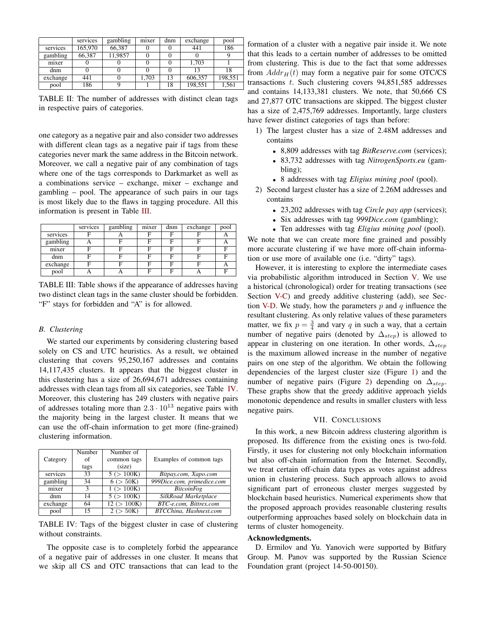<span id="page-4-0"></span>

|          | services | gambling | mixer | dnm | exchange | pool    |
|----------|----------|----------|-------|-----|----------|---------|
| services | 165,970  | 66.387   |       |     | 441      | 186     |
| gambling | 66,387   | 11,9857  |       |     |          |         |
| mixer    |          |          |       |     | 1.703    |         |
| dnm      |          |          |       |     | 13       | 18      |
| exchange | 441      |          | 1.703 | 13  | 606,357  | 198,551 |
| pool     | 186      |          |       | 18  | 198,551  | 1,561   |

TABLE II: The number of addresses with distinct clean tags in respective pairs of categories.

one category as a negative pair and also consider two addresses with different clean tags as a negative pair if tags from these categories never mark the same address in the Bitcoin network. Moreover, we call a negative pair of any combination of tags where one of the tags corresponds to Darkmarket as well as a combinations service – exchange, mixer – exchange and gambling – pool. The appearance of such pairs in our tags is most likely due to the flaws in tagging procedure. All this information is present in Table [III.](#page-4-1)

<span id="page-4-1"></span>

|          | services | gambling | mixer | dnm | exchange | pool |
|----------|----------|----------|-------|-----|----------|------|
| services |          |          | F     | F   |          |      |
| gambling |          |          | F     | F   |          |      |
| mixer    |          |          | Е     | F   |          |      |
| dnm      |          |          |       | п   |          |      |
| exchange |          |          | F     | F   |          |      |
| pool     |          |          | F     | Е   |          |      |

TABLE III: Table shows if the appearance of addresses having two distinct clean tags in the same cluster should be forbidden. "F" stays for forbidden and "A" is for allowed.

#### *B. Clustering*

We started our experiments by considering clustering based solely on CS and UTC heuristics. As a result, we obtained clustering that covers 95,250,167 addresses and contains 14,117,435 clusters. It appears that the biggest cluster in this clustering has a size of 26,694,671 addresses containing addresses with clean tags from all six categories, see Table [IV.](#page-4-2) Moreover, this clustering has 249 clusters with negative pairs of addresses totaling more than  $2.3 \cdot 10^{13}$  negative pairs with the majority being in the largest cluster. It means that we can use the off-chain information to get more (fine-grained) clustering information.

<span id="page-4-2"></span>

| Category | Number<br>of<br>tags | Number of<br>common tags<br>(size) | Examples of common tags    |
|----------|----------------------|------------------------------------|----------------------------|
| services | 33                   | 5 (> 100K)                         | Bitpay.com, Xapo.com       |
| gambling | 34                   | 6 (> 50K)                          | 999Dice.com, primedice.com |
| mixer    | ٩                    | 1(>100K)                           | <b>BitcoinFog</b>          |
| dnm      | 14                   | 5 (> 100K)                         | SilkRoad Marketplace       |
| exchange | 64                   | 12 (> 100K)                        | BTC-e.com, Bittrex.com     |
| pool     | 15                   | (> 50K)                            | BTCChina, Hashnest.com     |

TABLE IV: Tags of the biggest cluster in case of clustering without constraints.

The opposite case is to completely forbid the appearance of a negative pair of addresses in one cluster. It means that we skip all CS and OTC transactions that can lead to the

formation of a cluster with a negative pair inside it. We note that this leads to a certain number of addresses to be omitted from clustering. This is due to the fact that some addresses from  $Addr_H(t)$  may form a negative pair for some OTC/CS transactions t. Such clustering covers 94,851,585 addresses and contains 14,133,381 clusters. We note, that 50,666 CS and 27,877 OTC transactions are skipped. The biggest cluster has a size of 2,475,769 addresses. Importantly, large clusters have fewer distinct categories of tags than before:

- 1) The largest cluster has a size of 2.48M addresses and contains
	- 8,809 addresses with tag *BitReserve.com* (services);
	- 83,732 addresses with tag *NitrogenSports.eu* (gambling);
	- 8 addresses with tag *Eligius mining pool* (pool).
- 2) Second largest cluster has a size of 2.26M addresses and contains
	- 23,202 addresses with tag *Circle pay app* (services);
	- Six addresses with tag *999Dice.com* (gambling);

• Ten addresses with tag *Eligius mining pool* (pool). We note that we can create more fine grained and possibly more accurate clustering if we have more off-chain information or use more of available one (i.e. "dirty" tags).

However, it is interesting to explore the intermediate cases via probabilistic algorithm introduced in Section [V.](#page-2-2) We use a historical (chronological) order for treating transactions (see Section [V-C\)](#page-3-3) and greedy additive clustering (add), see Sec-tion [V-D.](#page-3-4) We study, how the parameters  $p$  and  $q$  influence the resultant clustering. As only relative values of these parameters matter, we fix  $p = \frac{3}{4}$  and vary q in such a way, that a certain number of negative pairs (denoted by  $\Delta_{step}$ ) is allowed to appear in clustering on one iteration. In other words,  $\Delta_{step}$ is the maximum allowed increase in the number of negative pairs on one step of the algorithm. We obtain the following dependencies of the largest cluster size (Figure [1\)](#page-5-34) and the number of negative pairs (Figure [2\)](#page-5-35) depending on  $\Delta_{step}$ . These graphs show that the greedy additive approach yields monotonic dependence and results in smaller clusters with less negative pairs.

# VII. CONCLUSIONS

In this work, a new Bitcoin address clustering algorithm is proposed. Its difference from the existing ones is two-fold. Firstly, it uses for clustering not only blockchain information but also off-chain information from the Internet. Secondly, we treat certain off-chain data types as votes against address union in clustering process. Such approach allows to avoid significant part of erroneous cluster merges suggested by blockchain based heuristics. Numerical experiments show that the proposed approach provides reasonable clustering results outperforming approaches based solely on blockchain data in terms of cluster homogeneity.

### Acknowledgments.

D. Ermilov and Yu. Yanovich were supported by Bitfury Group. M. Panov was supported by the Russian Science Foundation grant (project 14-50-00150).